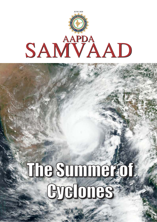

# The Summer of Cyclones Cyclones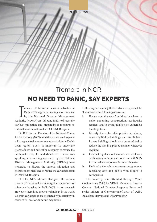IN THE NEWS

## Tremors in NCR NO NEED TO PANIC, SAY EXPERTS

In view of the recent seismic activities in<br>Delhi-NCR region, a meeting was convened<br>by the National Disaster Management<br>thority (NDMA) on 10th June 2020 to discuss the Delhi-NCR region, a meeting was convened by the National Disaster Management Authority (NDMA) on 10th June 2020, to discuss the various mitigation and preparedness measures to reduce the earthquake risk in Delhi-NCR region.

Dr. B K Bansal, Director of the National Centre for Seismology (NCS), said there is no need to panic with respect to the recent seismic activities in Delhi-NCR region. But it is important to undertake preparedness and mitigation measures to reduce the earthquake risk, he underlined. Dr. Bansal was speaking at a meeting convened by the National Disaster Management Authority (NDMA) here yesterday to discuss the various mitigation and preparedness measures to reduce the earthquake risk in Delhi-NCR region.

Director, NCS informed that given the seismic history of Delhi and its vicinity, the occurrence of minor earthquakes in Delhi-NCR is not unusual. However, there is no proven technology in the world wherein earthquakes are predicted with certainty in terms of its location, time and magnitude.

Following the meeting, the NDMAhas requested the States to take the following measures:

- i. Ensure compliance of building bye laws to make upcoming constructions earthquake resilient and to avoid addition of vulnerable building stock.
- ii. Identify the vulnerable priority structures, especially lifeline buildings, and retrofit them. Private buildings should also be retrofitted to reduce the risk in a phased manner, wherever required.
- iii. Conduct regular mock exercises to deal with earthquakes in future and come out with SoPs for immediate response after an earthquake
- iv. Undertake the public awareness programmes regarding do's and don'ts with regard to earthquakes.

The meeting was attended through Voice Conferencing (VC) by NDMA Members, Director General, National Disaster Response Force and senior officers of Government of NCT of Delhi, Rajasthan, Haryana and Uttar Pradesh.•

 **2**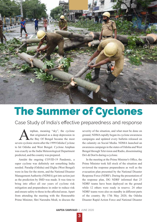

## The Summer of Cyclones

Case Study of India's effective preparedness and response

mphan, meaning "sky", the cyclone that originated as a deep depression in the Bay Of Bengal became the most severe cyclonic storm after the 1999 Odisha Cyclone to hit Odisha and West Bengal. Cyclone Amphan was exactly as the India Meteorological Department predicted, and the country was prepared.

Amidst the ongoing COVID-19 Pandemic, a super cyclone was definitely not something India needed. Paradip (Odisha) and Digha (West Bengal) were in line for the storm, and the National Disaster Management Authority (NDMA) got into action just as the prediction by IMD was made. It was time to bring into effect all our years of cyclone risk mitigation and preparedness in order to reduce risk and ensure safety to those in the affected areas. Apart from attending the meeting with the Honourable Prime Minister, Shri Narendra Modi, to discuss the

severity of the situation, and what must be done on ground, NDMArapidly began its cyclone awareness campaigns and updated every bulletin released on the calamity on Social Media. NDMA launched an awareness campaign in the states of Odisha and West Bengal through Television and Radio, disseminating Do's & Don'ts during a cyclone.

In the meeting at the Prime Minister's Office, the Prime Minister took full stock of the situation and reviewed the response preparedness as well as the evacuation plan presented by the National Disaster Response Force (NDRF). During the presentation of the response plan, DG NDRF informed that 25 NDRF teams have been deployed on the ground while 12 others were ready in reserve. 24 other NDRF teams were also on standby in different parts of the country. By 17th May 2020, the Odisha Disaster Rapid Action Force and National Disaster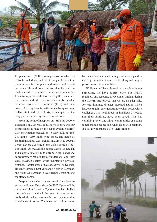

Response Force (NDRF) were pre-positioned across districts in Odisha and West Bengal to assist in preparations for Amphan and render aid where necessary. The additional units on standby could be readily airlifted to affected areas with Indian Air Force transport aircraft. Considering the pandemic, these crews and other first responders also needed personal protective equipment (PPE) and face covers. Adiving team from the Indian Navy was sent to Kolkata to aid relief efforts, with ships from the navy placed on standby for relief operations.

From the point of inception on 13th May 2020 to its landfall on 20th May 2020, how effective was our preparedness to take on the super cyclonic storm? Cyclone Amphan peaked on 18 May 2020 to upto 240 kmph - 260 kmph wind speed, and made its landfall in Digha. West Bengal on 20th May 2020 as a Very Severe Cyclonic Storm with a speed of 155- 165 kmph. Over 2 Million people were evacuated in India, approximately 40,000 from Sagar Islands and approximately 50,000 from Sunderbans, and they were provided shelter, while maintaining physical distance. Coastal areas of Odisha, as well as Kolkata, Hooghly, Howrah, East Midnapur, North 24 Parganas, and South 24 Parganas in West Bengal, were among the affected areas.

Despite being the strongest tropical cyclone to strike the Ganges Delta since the 2007 Cyclone Sidr, the powerful and deadly Cyclone Amphan, India's preparedness contained the loss of lives to just double digits, which was mostly due to electrocution or collapse of homes. The mass destruction caused

by the cyclone included damage to the rice paddies and vegetable and sesame fields, along with major power cuts in the areas affected.

While natural hazards such as a cyclone is not something we have control over, but India's readiness and response to Cyclone Amphan during the COVID Era proved that we are an adaptable, forward-thinking, disaster prepared nation which has, once again, emerged stronger when posed with a challenge.. The livelihoods of hundreds of locals, and their families, have been saved. This has certainly proven one thing - communities can come together and become one, when faced with calamity. It is so, as while there is life - there is hope!



**AAPDA SAMVAAD I JUNE**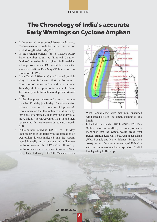#### COVER STORY

## The Chronology of India's accurate EarlyWarnings on Cyclone Amphan

- In the extended range outlook issued on 7th May, Cyclogenesis was predicted in the later part of week during 8th-14th May 2020.
- In the regional bulletin for 13 WMO/ESCAP Panel member countries (Tropical Weather Outlook) issued on 9th May, it was indicated that a low pressure area (LPA) would form over the southeast BoB on 13th May (96 hours prior to formation of LPA).
- In the Tropical Weather Outlook issued on 11th May, it was indicated that cyclogenesis (formation of depression) would occur around 16th May (48 hours prior to formation of LPA & 120 hours prior to formation of depression) over BoB.
- In the first press release and special message issued on 13th May (on the day of development of LPAand 3 days prior to formation of depression), it was indicated that the system would intensify into a cyclonic storm by 16 th evening and would move initially northwestwards till 17th and then recurve north-northeastwards towards north BoB.
- In the bulletin issued at 0845 IST of 16th May (104 hrs prior to landfall) with the formation of Depression, it was indicated that the system would intensify into a cyclone and will move north-northwestwards till 17th May followed by north-northeastwards movement towards West Bengal coast during 18th-20th May and cross



West Bengal coast with maximum sustained wind speed of 155-165 kmph gusting to 180 kmph.

In the bulletin issued at 0845 hrs IST of 17th May (80hrs prior to landfall), it was precisely mentioned that the system would cross West Bengal-Bangladesh coasts between Sagar Island (West Bengal) and Hatiya Islands (Bangladesh coast) during afternoon to evening of 20th May with maximum sustained wind speed of 155-165 kmph gusting to 185 kmph.

**AAPDA SAMVAAD** 

 **5**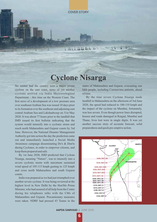COVER STORY

## **Cyclone Nisarga**

RAIMMAL

No sooner had the country seen a major severe cyclone on the east coast, news of yet another cyclone arrived via India Meteorological Department – this time on the Western Coast. The first news of a development of a low pressure area over southeast Arabian Sea was issued 10 days prior to its formation over the southeast and adjoining east central Arabian Sea and Lakshadweep on 31st May 2020. It was about 77 hours prior to the landfall that IMD issued its first bulletin indicating that the system would intensify into a cyclonic storm and reach north Maharashtra and Gujarat coasts by 3rd June. However, the National Disaster Management Authority got into action the day the prediction came out and immediately launched a Social Media Awareness campaign disseminating Do's & Don'ts during Cyclones, in order to empower citizens, and keep them prepared and safe.

By 1st June 2020, IMD predicted that Cyclone Nisarga, meaning "Nature", was to intensify into a severe cyclonic storm with maximum sustained wind speed of 105-115 kmph gusting to 125 kmph and cross north Maharashtra and south Gujarat coasts.

India was prepared as we had just triumphed over another severe cyclone. It was being reviewed at the highest level in New Delhi by the Hon'ble Prime Minister, who had assured of all help from the Centre during his telephonic talks with the CMs of Maharashtra and Gujarat. Precautionary measures were taken. NDRF had pressed 43 Teams in the

states of Maharashtra and Gujarat, evacuating one lakh people, including Coronavirus patients, ahead of time.

By the time severe Cyclone Nisarga made landfall in Maharashtra on the afternoon of 3rd June 2020, the speed had reduced to 100-110 kmph and the impact of the cyclone on Mumbai, fortunately, was less severe. Even though power lines disrupted, houses and roads damaged in Raigad, Mumbai and Thane, lives lost were in single digits. It was yet another success story of accurate forecast, solid preparedness and quick pre-emptive action.

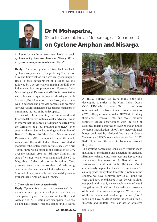#### IN CONVERSATION WITH



## Dr M Mohapatra,

(Director General, Indian Meteorological Department) on Cyclone Amphan and Nisarga

**1. Recently we have seen two back to back cyclones – Cyclone Amphan and Nisarg. What are yourprimary comments about them?**

**Reply:** The development of two back to back cyclones Amphan and Nisarga during 2nd half of May and first week of June was really challenging. Back to back development of a super cyclone followed by a severe cyclone making landfall over Indian coast is a rare phenomenon. However, India Meteorological Department (IMD) in association with other sister organisations of Ministry of Earth Sciences (MoES) monitored these two systems quite well in advance and provided forecast and warning services As a result it helped the disaster managers to mminimize the loss of life and property.

To describe, how minutely we monitored and forecasted these two systems, well in advance, I want to inform that the genesis of Amphan occurred with the formation of a low pressure area (LPA) over south Andaman Sea and adjoining southeast Bay of Bengal (BoB) on 1st May. India Meteorological Department (IMD) maintained round the clock watch over the north Indian Ocean. We started monitoring the system much earlier, since 23rd April - about three weeks prior to the formation of LPA over the southeast BoB on 13th May. Similarly, in case of Nisarga, watch was maintained since 21st May, about 10 days prior to the formation of low pressure area over the southeast & adjoining eastcentral Arabian Sea and Lakshadweep on 31st May and 11 days prior to the formation of depression over southeast Arabian Sea on 1st June.

#### **2. Can cyclones be forecasted easily?**

**Reply:** Cyclone forecasting is not an easy task. It is mainly because cyclones develop over sea. Sea is a data sparse region. The expanse of the BoB and Arabian Sea (AS), is still more data sparse. Also, we do not have aircraft reconnaissance unlike North



Atlantic. Further, we have many poor and developing countries in the North Indian Ocean (NIO) RIM which cannot afford to have latest observational tools like automated weather stations (AWS), Doppler weather radars (DWRs) etc. along their coast. However, IMD and MoES monitor remotely sensed observations with the help of satellites/ radars deployed by IMD & Indian Space Research Organisation (ISRO), the meteorological buoys deployed by National Institute of Ocean Technology (NIOT), sea surface winds from SCAT SAT of ISRO and other satellite observations around the globe.

The cyclone forecasting consists of various steps including i) monitoring and detection, ii) analysis, iii) numerical modeling, iv) forecasting & predicting and v) warning generation & dissemination to various stake holders & public. IMD and MoES continuously augment all the above components. So as to upgrade the cyclone forecasting system in the country, we have deployed DWRs all along the coast, 20 buoys over the BoB & AS, 30 coastal ships equipped with AWS, dense deployment of AWS along the coast (1 in 30 km) for a realistic assessment of the state of ocean and atmosphere. We have state of the art numerical weather prediction (NWP) models to have guidance about the genesis, track, intensity and landfall. IMD also has an objective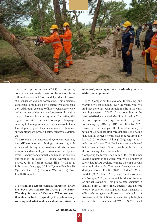

decision support system (DSS) to compare, comprehend and analyze various observations from different sources and NWP model products to arrive at a consensus cyclone forecasting. This objective consensus is modulated by a subjective consensus derived through exchange of knowledge, experience and expertise of the cyclone forecasters through a daily video conferencing system. Thereafter, the digital forecast is translated to simpler language catering to the requirement of various stake holders like shipping, port, fisheries officials, fishermen, surface transport, power, health, railways, aviation etc.

To carry out all these aspects of cyclone forecasting, the IMD works on war footing; commencing with genesis of the system involving all its human resources and technology to provide forecast update every 3-6 hourly and gradually hourly as the cyclone approaches the coast. All these warnings are provided in different stages like (i) Special Informatory Message, (ii) Pre-Cyclone Watch, (iii) Cyclone Alert, (iv) Cyclone Warning, (v) Post Landfall Outlook.

**3. The Indian Meteorological Department (IMD) has been consistently improving the Early Warning Systems of Cyclone. What are your thoughts on India's capability in Cyclone early warning and what makes us stand-out vis-à-vis**  **other early warning systems, considering the case of the recent cyclones?**

**Reply:** Comparing the cyclone forecasting and warning system accuracy over the years, you will find that there has been paradigm shift in the early warning system of IMD. As a co-author of the Vision-2020 document of MoES published in 2010, we anticipated an improvement in cyclone forecasting by 20% by 2015 and 40% by 2020. However, if we compare the forecast accuracy in terms of 24 hour landfall forecast error, it is found that landfall forecast errors have reduced from 117 km (2010) to about 45 km (2020), registering a reduction of about 63%. We have already achieved better than the target. Similar has been the case for the forecasting of adverse weather.

Comparing the forecast accuracy of IMD with other leading centres in the world, you will be happy to know that, IMD's cyclone warning system is second to none in the world. The recent forecast accuracy during cyclones Phailin (2013), Hudhud (2014), Vardah (2016), Fani (2019) and recently Amphan and Nisarga (2020) are a few notable demonstrations of our achievements. This pin pointed accuracy in landfall point & time, track, intensity and adverse weather prediction has helped disaster managers to effectively mitigate the disaster and reduce loss of lives to double digit. It has helped not only India, but also all the 13 members of WMO/ESCAP Panel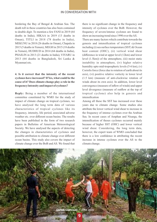#### IN CONVERSATION WITH

bordering the Bay of Bengal & Arabian Sea. The death toll in these countries has also been contained to double digit. To mention a few FANI in 2019 (64 deaths in India), HIKAA in 2019 (13 deaths in Oman), TITLI in 2018 (78 deaths in India), MEKUNU in 2018 (26 deaths in Oman), Chapala in 2015 (5 deaths in Yemen), MEGH in 2015 (18 deaths in Yemen), HUDHUD in 2014 (64 deaths in India), PHAILIN in 2013 (21 deaths in India), VIYARU in 2013 (64 deaths in Bangladesh, Sri Lanka & Myanmar) etc.

#### **4. Is it correct that the intensity of the recent cyclones have increased? If Yes, what could be the cause of it? Does climate change play a role in the frequency/intensity and impact of cyclones?**

**Reply:** Being a member of the international committee constituted by WMO for the study of impact of climate change on tropical cyclones, we have analysed the long term data of various characteristics of tropical cyclones like its frequency, intensity, life period, associated adverse weather etc. over different ocean basins. The results have been published in the form of two research papers in Bulletins of American Meteorological Society. We have analysed the aspects of detecting the changes in characteristics of cyclones and possible attribution to climate change over different ocean basins. This study also covers the impact of climate change over the BoB and AS. We found that there is no significant change in the frequency and intensity of cyclones over the BoB. However, the frequency of severe/intense cyclones are found to show an increasing trend since 1990 over the AS.

There are many factors which contribute towards the genesis and intensification of tropical cyclones including (i) sea surface temperature (SST) & Ocean heat content (OHC), (ii) vertical wind shear (difference in wind at upper level (12km) and lower level (1.5km)) of the atmosphere, (iii) moist static instability in atmosphere, (iv) higher relative humidity upto mid-tropospheric levels (5-6 km), (v) Coriolis force (force due to rotation of earth about its axis), (vi) positive relative vorticity in lower level (1.5 km) (measure of anti-clockwise rotation of winds about its own axis). In addition, lower level convergence (measure of inflow of winds) and upper level divergence (measure of outflow at the top of tropical cyclone) also help in genesis and intensification

Among all these the SST has increased over these years due to climate change. Some studies also attribute the lower vertical wind shear to increase in the frequency of intense cyclones over the Arabian Sea. In recent cases of Amphan and Nisarga, the intensification of theses cyclones occurred mainly because of higher SST (OHC) and lower vertical wind shear. Considering, the long term data, however, the expert team of WMO concluded that there is a low confidence in attributing the recent increase in intense cyclones over the AS to the climate change.

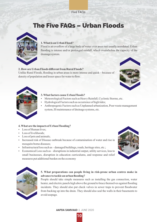Five FAQs

## The Five FAQs – Urban Floods



#### **1. What is an Urban Flood?**

Flood is an overflow of a large body of water over areas not usually inundated. Urban flooding is intense and/or prolonged rainfall, which overwhelms the capacity of the drainage system.

#### **2. How are Urban Floods different from Rural Floods?**

Unlike Rural Floods, flooding in urban areas is more intense and quick – because of density of population and lesser space for water to flow.





#### **3. What factors cause Urban Floods?**

- Meteorological Factors such as Heavy Rainfall, Cyclonic Storms, etc.
- Hydrological Factors such as occurrence of high tides;
- Anthropogenic Factors such as Unplanned urbanization, Poor waste management system, Ill maintenance of drainage systems, etc.

#### **4. What are the impacts of Urban Flooding?**

- $\cdot$  Loss of Human lives:
- Loss of livelihoods;
- Loss of pets and animals;
- Increased risk of Disease outbreak because of contamination of water and rise in mosquito borne diseases;
- $\bullet$  Infrastructural loss such as damaged buildings, roads, heritage sites, etc.;
- Economical Loss such as disruptions in industrial output, utility services, loss to small businesses, disruption in education curriculums, and response and relief measures put additional burden on the economy





#### **5. What preparations can people living in risk-prone urban centres make in advance to tackle an urban flooding?**

People should take simple measures such as installing the gas connection, water heater, and electric panels high above the ground to brace themselves against flooding incidents. They should also put check valves in sewer traps to prevent floodwater from backing up into the drain. They should also seal the walls in their basements to avoid seepage.

**AAPDA SAMVAAD** | JUNE 2020

 **10**